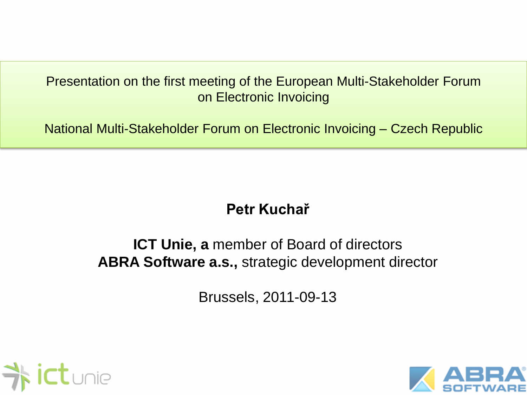#### Presentation on the first meeting of the European Multi-Stakeholder Forum on Electronic Invoicing

National Multi-Stakeholder Forum on Electronic Invoicing – Czech Republic

## **Petr Kuchař**

#### **ICT Unie, a** member of Board of directors **ABRA Software a.s.,** strategic development director

Brussels, 2011-09-13



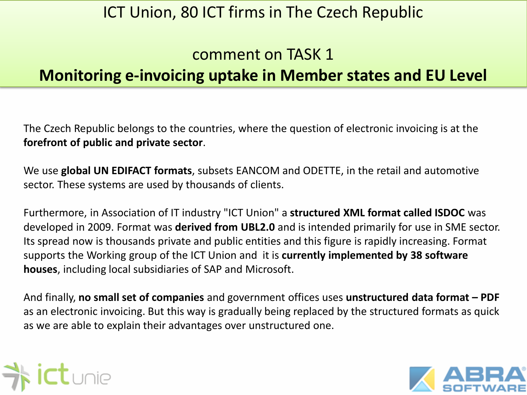#### comment on TASK 1

### **Monitoring e-invoicing uptake in Member states and EU Level**

The Czech Republic belongs to the countries, where the question of electronic invoicing is at the **forefront of public and private sector**.

We use **global UN EDIFACT formats**, subsets EANCOM and ODETTE, in the retail and automotive sector. These systems are used by thousands of clients.

Furthermore, in Association of IT industry "ICT Union" a **structured XML format called ISDOC** was developed in 2009. Format was **derived from UBL2.0** and is intended primarily for use in SME sector. Its spread now is thousands private and public entities and this figure is rapidly increasing. Format supports the Working group of the ICT Union and it is **currently implemented by 38 software houses**, including local subsidiaries of SAP and Microsoft.

And finally, **no small set of companies** and government offices uses **unstructured data format – PDF** as an electronic invoicing. But this way is gradually being replaced by the structured formats as quick as we are able to explain their advantages over unstructured one.



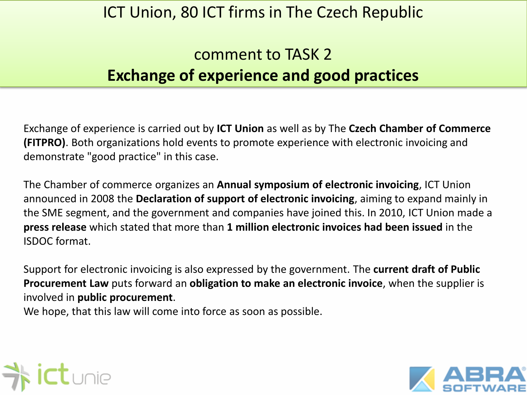## comment to TASK 2 **Exchange of experience and good practices**

Exchange of experience is carried out by **ICT Union** as well as by The **Czech Chamber of Commerce (FITPRO)**. Both organizations hold events to promote experience with electronic invoicing and demonstrate "good practice" in this case.

The Chamber of commerce organizes an **Annual symposium of electronic invoicing**, ICT Union announced in 2008 the **Declaration of support of electronic invoicing**, aiming to expand mainly in the SME segment, and the government and companies have joined this. In 2010, ICT Union made a **press release** which stated that more than **1 million electronic invoices had been issued** in the ISDOC format.

Support for electronic invoicing is also expressed by the government. The **current draft of Public Procurement Law** puts forward an **obligation to make an electronic invoice**, when the supplier is involved in **public procurement**.

We hope, that this law will come into force as soon as possible.



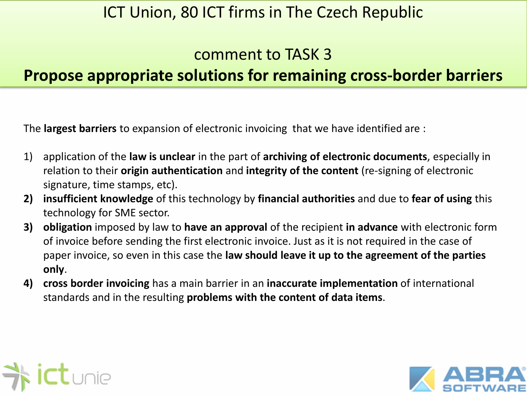#### comment to TASK 3

## **Propose appropriate solutions for remaining cross-border barriers**

The **largest barriers** to expansion of electronic invoicing that we have identified are :

- 1) application of the **law is unclear** in the part of **archiving of electronic documents**, especially in relation to their **origin authentication** and **integrity of the content** (re-signing of electronic signature, time stamps, etc).
- **2) insufficient knowledge** of this technology by **financial authorities** and due to **fear of using** this technology for SME sector.
- **3) obligation** imposed by law to **have an approval** of the recipient **in advance** with electronic form of invoice before sending the first electronic invoice. Just as it is not required in the case of paper invoice, so even in this case the **law should leave it up to the agreement of the parties only**.
- **4) cross border invoicing** has a main barrier in an **inaccurate implementation** of international standards and in the resulting **problems with the content of data items**.